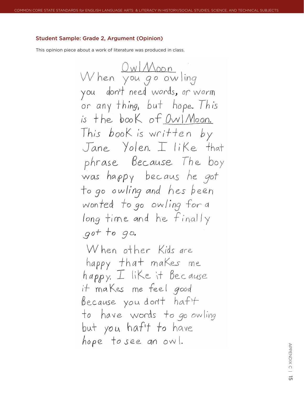## Student Sample: Grade 2, Argument (Opinion)

This opinion piece about a work of literature was produced in class.

appendix  $\supset$ <u>ਯ</u>